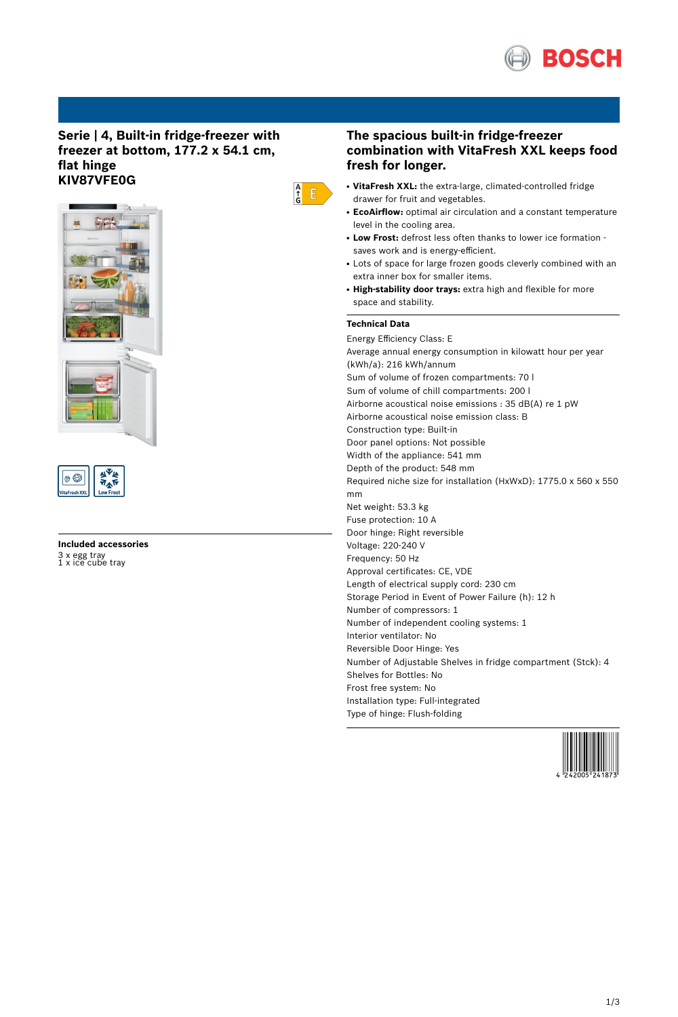

## **Serie | 4, Built-in fridge-freezer with freezer at bottom, 177.2 x 54.1 cm, flat hinge KIV87VFE0G**





# **Included accessories** 3 x egg tray 1 x ice cube tray

# **The spacious built-in fridge-freezer combination with VitaFresh XXL keeps food fresh for longer.**

- **VitaFresh XXL:** the extra-large, climated-controlled fridge drawer for fruit and vegetables.
- **EcoAirflow:** optimal air circulation and a constant temperature level in the cooling area.
- Low Frost: defrost less often thanks to lower ice formation saves work and is energy-efficient.
- Lots of space for large frozen goods cleverly combined with an extra inner box for smaller items.
- **High-stability door trays:** extra high and flexible for more space and stability.

## **Technical Data**

 $\begin{array}{c} A \\ \uparrow \\ G \end{array}$   $E$ 

Energy Efficiency Class: E Average annual energy consumption in kilowatt hour per year (kWh/a): 216 kWh/annum Sum of volume of frozen compartments: 70 l Sum of volume of chill compartments: 200 l Airborne acoustical noise emissions : 35 dB(A) re 1 pW Airborne acoustical noise emission class: B Construction type: Built-in Door panel options: Not possible Width of the appliance: 541 mm Depth of the product: 548 mm Required niche size for installation (HxWxD): 1775.0 x 560 x 550 mm Net weight: 53.3 kg Fuse protection: 10 A Door hinge: Right reversible Voltage: 220-240 V Frequency: 50 Hz Approval certificates: CE, VDE Length of electrical supply cord: 230 cm Storage Period in Event of Power Failure (h): 12 h Number of compressors: 1 Number of independent cooling systems: 1 Interior ventilator: No Reversible Door Hinge: Yes Number of Adjustable Shelves in fridge compartment (Stck): 4 Shelves for Bottles: No Frost free system: No Installation type: Full-integrated Type of hinge: Flush-folding

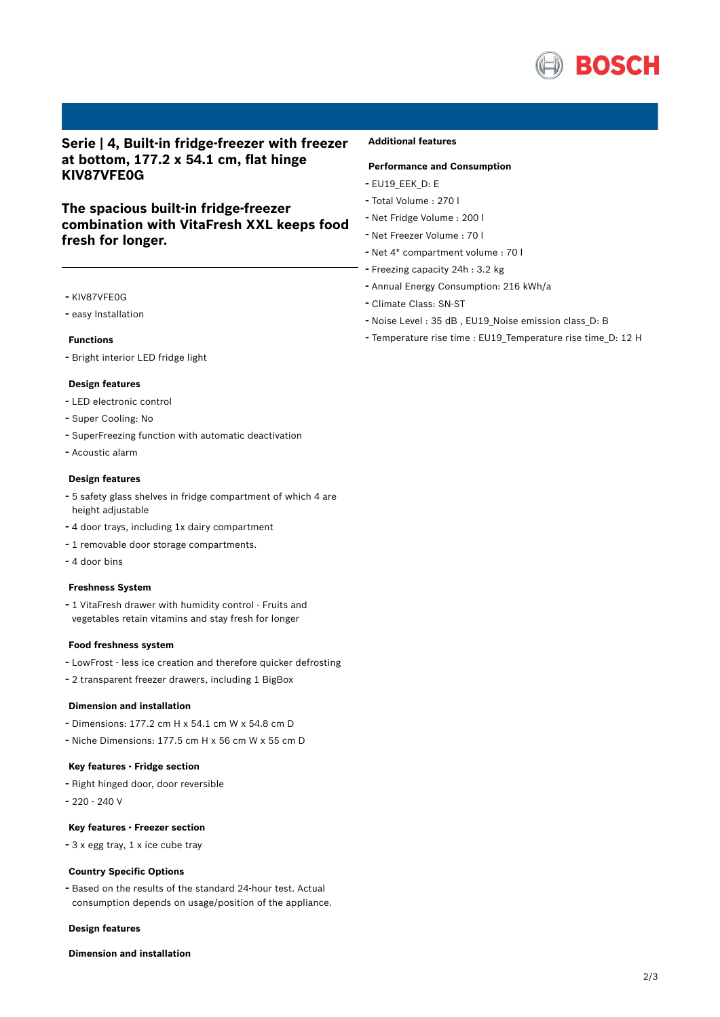

# **Serie | 4, Built-in fridge-freezer with freezer at bottom, 177.2 x 54.1 cm, flat hinge KIV87VFE0G**

# **The spacious built-in fridge-freezer combination with VitaFresh XXL keeps food fresh for longer.**

- KIV87VFE0G
- easy Installation

### **Functions**

- Bright interior LED fridge light

#### **Design features**

- LED electronic control
- Super Cooling: No
- SuperFreezing function with automatic deactivation
- Acoustic alarm

## **Design features**

- <sup>5</sup> safety glass shelves in fridge compartment of which <sup>4</sup> are height adjustable
- <sup>4</sup> door trays, including 1x dairy compartment
- <sup>1</sup> removable door storage compartments.
- 4 door bins

#### **Freshness System**

- <sup>1</sup> VitaFresh drawer with humidity control - Fruits and vegetables retain vitamins and stay fresh for longer

#### **Food freshness system**

- LowFrost less ice creation and therefore quicker defrosting
- <sup>2</sup> transparent freezer drawers, including <sup>1</sup> BigBox

### **Dimension and installation**

- Dimensions: 177.2 cm H x 54.1 cm W x 54.8 cm D
- Niche Dimensions: 177.5 cm <sup>H</sup> <sup>x</sup> <sup>56</sup> cm <sup>W</sup> <sup>x</sup> <sup>55</sup> cm <sup>D</sup>

### **Key features - Fridge section**

- Right hinged door, door reversible
- 220 240 V

### **Key features - Freezer section**

- <sup>3</sup> <sup>x</sup> egg tray, <sup>1</sup> <sup>x</sup> ice cube tray

#### **Country Specific Options**

- Based on the results of the standard 24-hour test. Actual consumption depends on usage/position of the appliance.

#### **Design features**

### **Dimension and installation**

### **Additional features**

## **Performance and Consumption**

- EU19\_EEK\_D: E
- Total Volume : <sup>270</sup> <sup>l</sup>
- Net Fridge Volume : <sup>200</sup> <sup>l</sup>
- Net Freezer Volume : <sup>70</sup> <sup>l</sup>
- Net 4\* compartment volume : <sup>70</sup> <sup>l</sup>
- Freezing capacity 24h : 3.2 kg
- Annual Energy Consumption: <sup>216</sup> kWh/a
- Climate Class: SN-ST
- Noise Level : <sup>35</sup> dB , EU19\_Noise emission class\_D: <sup>B</sup>
- Temperature rise time : EU19\_Temperature rise time\_D: <sup>12</sup> <sup>H</sup>